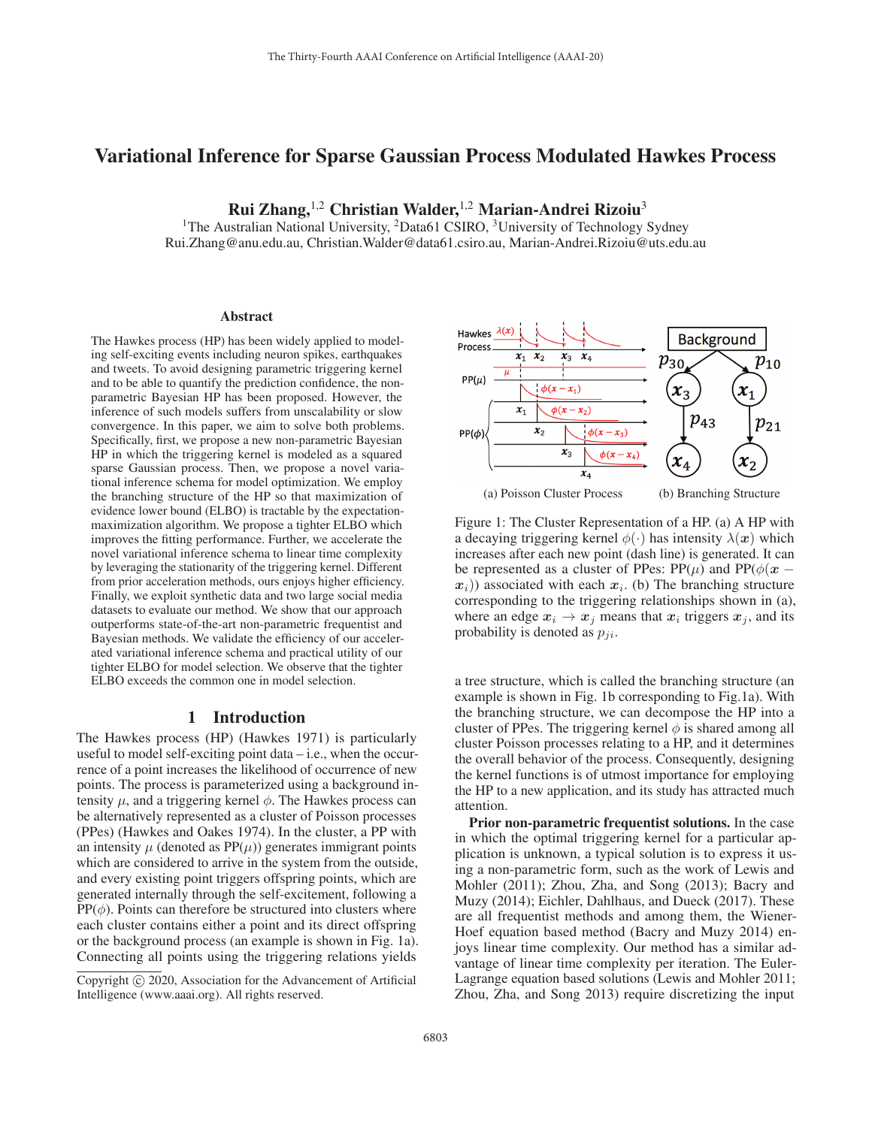# Variational Inference for Sparse Gaussian Process Modulated Hawkes Process

Rui Zhang,<sup>1,2</sup> Christian Walder,<sup>1,2</sup> Marian-Andrei Rizoiu<sup>3</sup>

<sup>1</sup>The Australian National University, <sup>2</sup>Data61 CSIRO, <sup>3</sup>University of Technology Sydney Rui.Zhang@anu.edu.au, Christian.Walder@data61.csiro.au, Marian-Andrei.Rizoiu@uts.edu.au

#### Abstract

The Hawkes process (HP) has been widely applied to modeling self-exciting events including neuron spikes, earthquakes and tweets. To avoid designing parametric triggering kernel and to be able to quantify the prediction confidence, the nonparametric Bayesian HP has been proposed. However, the inference of such models suffers from unscalability or slow convergence. In this paper, we aim to solve both problems. Specifically, first, we propose a new non-parametric Bayesian HP in which the triggering kernel is modeled as a squared sparse Gaussian process. Then, we propose a novel variational inference schema for model optimization. We employ the branching structure of the HP so that maximization of evidence lower bound (ELBO) is tractable by the expectationmaximization algorithm. We propose a tighter ELBO which improves the fitting performance. Further, we accelerate the novel variational inference schema to linear time complexity by leveraging the stationarity of the triggering kernel. Different from prior acceleration methods, ours enjoys higher efficiency. Finally, we exploit synthetic data and two large social media datasets to evaluate our method. We show that our approach outperforms state-of-the-art non-parametric frequentist and Bayesian methods. We validate the efficiency of our accelerated variational inference schema and practical utility of our tighter ELBO for model selection. We observe that the tighter ELBO exceeds the common one in model selection.

#### 1 Introduction

The Hawkes process (HP) (Hawkes 1971) is particularly useful to model self-exciting point data – i.e., when the occurrence of a point increases the likelihood of occurrence of new points. The process is parameterized using a background intensity  $\mu$ , and a triggering kernel  $\phi$ . The Hawkes process can be alternatively represented as a cluster of Poisson processes (PPes) (Hawkes and Oakes 1974). In the cluster, a PP with an intensity  $\mu$  (denoted as PP $(\mu)$ ) generates immigrant points which are considered to arrive in the system from the outside, and every existing point triggers offspring points, which are generated internally through the self-excitement, following a  $PP(\phi)$ . Points can therefore be structured into clusters where each cluster contains either a point and its direct offspring or the background process (an example is shown in Fig. 1a). Connecting all points using the triggering relations yields



Figure 1: The Cluster Representation of a HP. (a) A HP with a decaying triggering kernel  $\phi(\cdot)$  has intensity  $\lambda(x)$  which increases after each new point (dash line) is generated. It can be represented as a cluster of PPes: PP( $\mu$ ) and PP( $\phi(\mathbf{x} - \mathbf{z})$  $x_i$ )) associated with each  $x_i$ . (b) The branching structure corresponding to the triggering relationships shown in (a), where an edge  $x_i \rightarrow x_j$  means that  $x_i$  triggers  $x_j$ , and its probability is denoted as  $p_{ji}$ .

a tree structure, which is called the branching structure (an example is shown in Fig. 1b corresponding to Fig.1a). With the branching structure, we can decompose the HP into a cluster of PPes. The triggering kernel  $\phi$  is shared among all cluster Poisson processes relating to a HP, and it determines the overall behavior of the process. Consequently, designing the kernel functions is of utmost importance for employing the HP to a new application, and its study has attracted much attention.

Prior non-parametric frequentist solutions. In the case in which the optimal triggering kernel for a particular application is unknown, a typical solution is to express it using a non-parametric form, such as the work of Lewis and Mohler (2011); Zhou, Zha, and Song (2013); Bacry and Muzy (2014); Eichler, Dahlhaus, and Dueck (2017). These are all frequentist methods and among them, the Wiener-Hoef equation based method (Bacry and Muzy 2014) enjoys linear time complexity. Our method has a similar advantage of linear time complexity per iteration. The Euler-Lagrange equation based solutions (Lewis and Mohler 2011; Zhou, Zha, and Song 2013) require discretizing the input

Copyright  $\odot$  2020, Association for the Advancement of Artificial Intelligence (www.aaai.org). All rights reserved.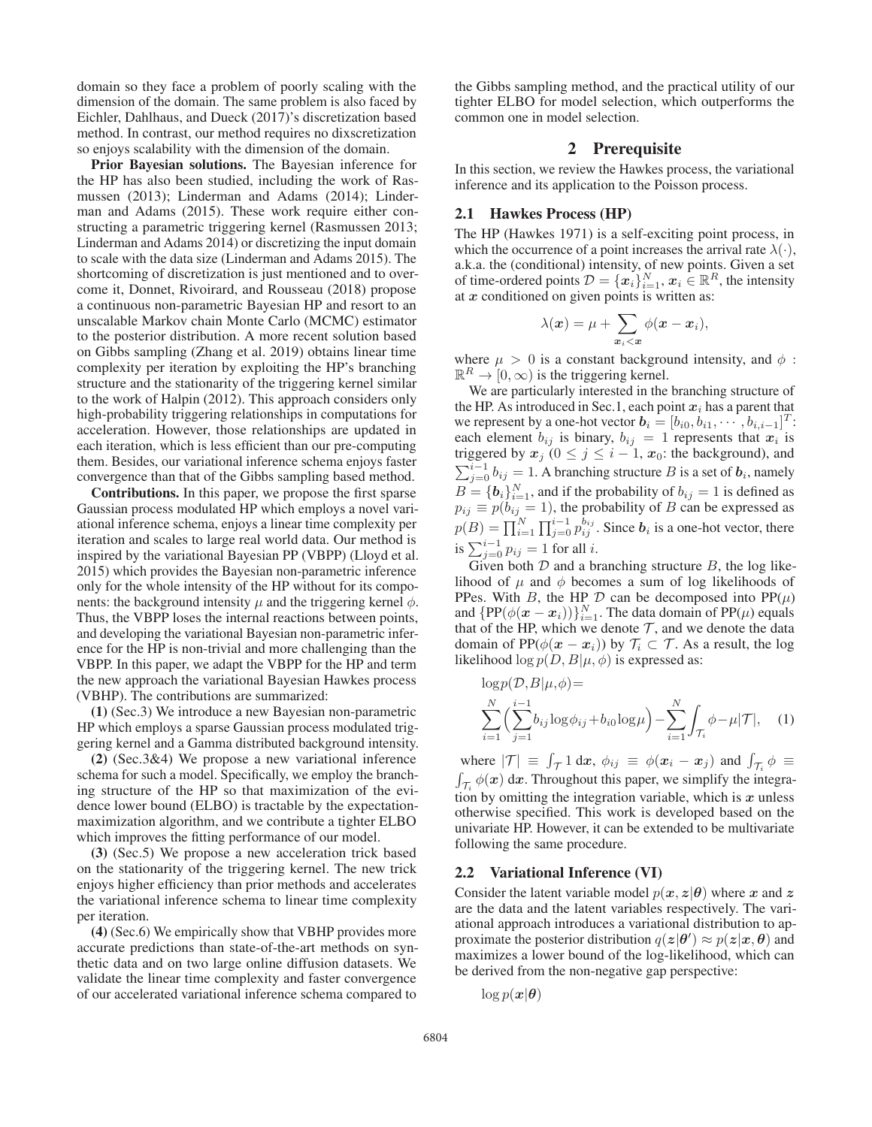domain so they face a problem of poorly scaling with the dimension of the domain. The same problem is also faced by Eichler, Dahlhaus, and Dueck (2017)'s discretization based method. In contrast, our method requires no dixscretization so enjoys scalability with the dimension of the domain.

Prior Bayesian solutions. The Bayesian inference for the HP has also been studied, including the work of Rasmussen (2013); Linderman and Adams (2014); Linderman and Adams (2015). These work require either constructing a parametric triggering kernel (Rasmussen 2013; Linderman and Adams 2014) or discretizing the input domain to scale with the data size (Linderman and Adams 2015). The shortcoming of discretization is just mentioned and to overcome it, Donnet, Rivoirard, and Rousseau (2018) propose a continuous non-parametric Bayesian HP and resort to an unscalable Markov chain Monte Carlo (MCMC) estimator to the posterior distribution. A more recent solution based on Gibbs sampling (Zhang et al. 2019) obtains linear time complexity per iteration by exploiting the HP's branching structure and the stationarity of the triggering kernel similar to the work of Halpin (2012). This approach considers only high-probability triggering relationships in computations for acceleration. However, those relationships are updated in each iteration, which is less efficient than our pre-computing them. Besides, our variational inference schema enjoys faster convergence than that of the Gibbs sampling based method.

Contributions. In this paper, we propose the first sparse Gaussian process modulated HP which employs a novel variational inference schema, enjoys a linear time complexity per iteration and scales to large real world data. Our method is inspired by the variational Bayesian PP (VBPP) (Lloyd et al. 2015) which provides the Bayesian non-parametric inference only for the whole intensity of the HP without for its components: the background intensity  $\mu$  and the triggering kernel  $\phi$ . Thus, the VBPP loses the internal reactions between points, and developing the variational Bayesian non-parametric inference for the HP is non-trivial and more challenging than the VBPP. In this paper, we adapt the VBPP for the HP and term the new approach the variational Bayesian Hawkes process (VBHP). The contributions are summarized:

(1) (Sec.3) We introduce a new Bayesian non-parametric HP which employs a sparse Gaussian process modulated triggering kernel and a Gamma distributed background intensity.

(2) (Sec.3&4) We propose a new variational inference schema for such a model. Specifically, we employ the branching structure of the HP so that maximization of the evidence lower bound (ELBO) is tractable by the expectationmaximization algorithm, and we contribute a tighter ELBO which improves the fitting performance of our model.

(3) (Sec.5) We propose a new acceleration trick based on the stationarity of the triggering kernel. The new trick enjoys higher efficiency than prior methods and accelerates the variational inference schema to linear time complexity per iteration.

(4) (Sec.6) We empirically show that VBHP provides more accurate predictions than state-of-the-art methods on synthetic data and on two large online diffusion datasets. We validate the linear time complexity and faster convergence of our accelerated variational inference schema compared to

the Gibbs sampling method, and the practical utility of our tighter ELBO for model selection, which outperforms the common one in model selection.

## 2 Prerequisite

In this section, we review the Hawkes process, the variational inference and its application to the Poisson process.

## 2.1 Hawkes Process (HP)

The HP (Hawkes 1971) is a self-exciting point process, in which the occurrence of a point increases the arrival rate  $\lambda(\cdot)$ , a.k.a. the (conditional) intensity, of new points. Given a set of time-ordered points  $\mathcal{D} = \{x_i\}_{i=1}^N, x_i \in \mathbb{R}^R$ , the intensity at *x* conditioned on given points is written as: at *x* conditioned on given points is written as:

$$
\lambda(\boldsymbol{x}) = \mu + \sum_{\boldsymbol{x}_i < \boldsymbol{x}} \phi(\boldsymbol{x} - \boldsymbol{x}_i),
$$

where  $\mu > 0$  is a constant background intensity, and  $\phi$ :  $\mathbb{R}^R \to [0, \infty)$  is the triggering kernel.

We are particularly interested in the branching structure of the HP. As introduced in Sec.1, each point  $x_i$  has a parent that we represent by a one-hot vector  $b_i = [b_{i0}, b_{i1}, \dots, b_{i,i-1}]^T$ :<br>each element  $b_{i,i}$  is binary  $b_{i,i} = 1$  represents that  $x_i$  is each element  $b_{ij}$  is binary,  $b_{ij} = 1$  represents that  $x_i$  is triggered by  $x_i$  ( $0 \le i \le i-1$   $x_0$ ; the background) and triggered by  $x_j$  ( $0 \le j \le i - 1$ ,  $x_0$ : the background), and  $\sum_{j=0}^{i-1} b_{ij} = 1$ . A branching structure *B* is a set of  $b_i$ , namely  $B = \{b_i\}_{i=1}^N$ , and if the probability of  $b_{ij} = 1$  is defined as  $p_{ij} = n(h_{ij} = 1)$ , the probability of *B* can be expressed as  $p_{ij} \equiv p(b_{ij} = 1)$ , the probability of B can be expressed as  $p(B) = \prod_{i=1}^{N} \prod_{j=0}^{i-1} p_{ij}^{b_{ij}}$ . Since  $b_i$  is a one-hot vector, there is  $\sum_{j=0}^{i-1} p_{ij} = 1$  for all *i*.<br>Given both  $\mathcal{D}$  and a bi

Given both  $D$  and a branching structure  $B$ , the log likelihood of  $\mu$  and  $\phi$  becomes a sum of log likelihoods of PPes. With B, the HP  $D$  can be decomposed into  $PP(\mu)$ and  $\{PP(\phi(\mathbf{x}-\mathbf{x}_i))\}_{i=1}^N$ . The data domain of  $PP(\mu)$  equals that of the HP which we denote  $\tau$  and we denote the data that of the HP, which we denote  $\mathcal{T}$ , and we denote the data domain of PP( $\phi(\mathbf{x} - \mathbf{x}_i)$ ) by  $\mathcal{T}_i \subset \mathcal{T}$ . As a result, the log likelihood  $\log p(D, B | \mu, \phi)$  is expressed as:

$$
\log p(\mathcal{D}, B | \mu, \phi) =
$$
  

$$
\sum_{i=1}^{N} \left( \sum_{j=1}^{i-1} b_{ij} \log \phi_{ij} + b_{i0} \log \mu \right) - \sum_{i=1}^{N} \int_{\mathcal{T}_i} \phi - \mu |\mathcal{T}|, \quad (1)
$$

where  $|\mathcal{T}| \equiv \int_{\mathcal{T}} 1 \, dx$ ,  $\phi_{ij} \equiv \phi(x_i - x_j)$  and  $\int_{\mathcal{T}_i} \phi \equiv \int_{-\infty}^{\infty} \phi(x_i) \, dx$ . Throughout this paper, we simplify the integra- $\int_{\mathcal{T}_i} \phi(\mathbf{x}) \, d\mathbf{x}$ . Throughout this paper, we simplify the integration by omitting the integration variable, which is  $x$  unless otherwise specified. This work is developed based on the univariate HP. However, it can be extended to be multivariate following the same procedure.

#### 2.2 Variational Inference (VI)

Consider the latent variable model  $p(x, z | \theta)$  where *x* and *z* are the data and the latent variables respectively. The variational approach introduces a variational distribution to approximate the posterior distribution  $q(z|\theta') \approx p(z|x, \theta)$  and maximizes a lower bound of the log-likelihood, which can maximizes a lower bound of the log-likelihood, which can be derived from the non-negative gap perspective:

 $\log p(\boldsymbol{x}|\boldsymbol{\theta})$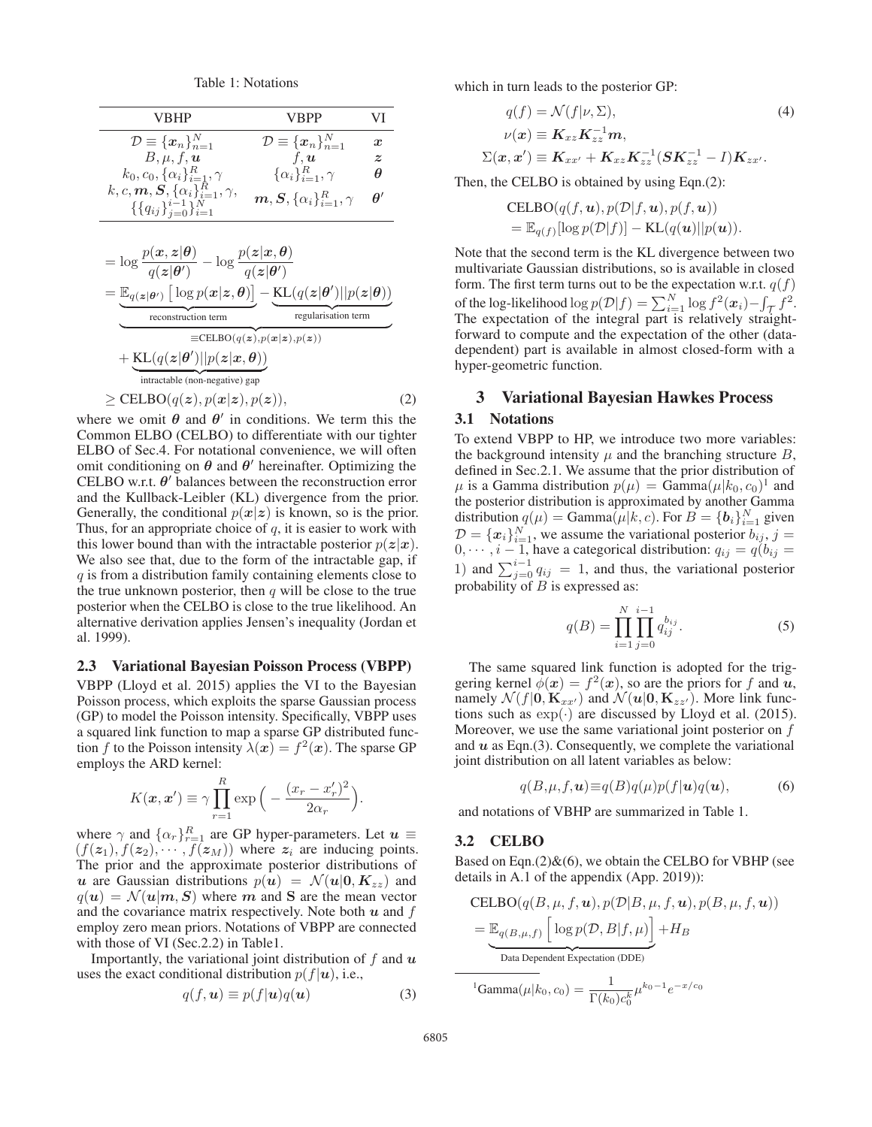Table 1: Notations

| <b>VBHP</b>                                                                                                                                                                                                                                                                                                                         | <b>VBPP</b>                                                    | VI               |
|-------------------------------------------------------------------------------------------------------------------------------------------------------------------------------------------------------------------------------------------------------------------------------------------------------------------------------------|----------------------------------------------------------------|------------------|
| $\mathcal{D} \equiv \{x_n\}_{n=1}^N$                                                                                                                                                                                                                                                                                                | $\mathcal{D} \equiv \{x_n\}_{n=1}^N$                           | $\boldsymbol{x}$ |
| $B$ , $\mu$ , $f$ , $\boldsymbol{u}$                                                                                                                                                                                                                                                                                                | f.u                                                            | $\boldsymbol{z}$ |
| $k_0, c_0, {\alpha_i}_{i=1}^R, \gamma$<br>$k, c, m, S, {\alpha_i}_{i=1}^R, \gamma,$                                                                                                                                                                                                                                                 | $\{\alpha_i\}_{i=1}^R, \gamma$                                 | θ                |
| $\{\{q_{ij}\}_{i=0}^{i-1}\}_{i=1}^N$                                                                                                                                                                                                                                                                                                | $\boldsymbol{m}, \boldsymbol{S}, \{\alpha_i\}_{i=1}^R, \gamma$ | $\theta'$        |
| $= \log \frac{p(x, z   \theta)}{q(z   \theta')} - \log \frac{p(z   x, \theta)}{q(z   \theta')}$<br>$= \mathbb{E}_{q(\boldsymbol{z} \boldsymbol{\theta}')} \left[ \log p(\boldsymbol{x} \boldsymbol{z}, \boldsymbol{\theta}) \right] - \mathrm{KL}(q(\boldsymbol{z} \boldsymbol{\theta}')    p(\boldsymbol{z} \boldsymbol{\theta}))$ |                                                                |                  |
| reconstruction term                                                                                                                                                                                                                                                                                                                 | regularisation term                                            |                  |
|                                                                                                                                                                                                                                                                                                                                     | $\equiv$ CELBO $(q(z), p(x z), p(z))$                          |                  |
| + KL $(q(z \theta')  p(z x,\theta))$                                                                                                                                                                                                                                                                                                |                                                                |                  |
| intractable (non-negative) gap                                                                                                                                                                                                                                                                                                      |                                                                |                  |
| $\geq$ CELBO( $q(z), p(x z), p(z)$ ),                                                                                                                                                                                                                                                                                               |                                                                |                  |
| where we omit $\theta$ and $\theta'$ in conditions. We term this the                                                                                                                                                                                                                                                                |                                                                |                  |

Common ELBO (CELBO) to differentiate with our tighter ELBO of Sec.4. For notational convenience, we will often omit conditioning on  $\theta$  and  $\theta'$  hereinafter. Optimizing the CELBO w.r.t. θ<sup>'</sup> balances between the reconstruction error and the Kullback-Leibler (KL) divergence from the prior. Generally, the conditional  $p(x|z)$  is known, so is the prior. Thus, for an appropriate choice of  $q$ , it is easier to work with this lower bound than with the intractable posterior  $p(z|x)$ . We also see that, due to the form of the intractable gap, if q is from a distribution family containing elements close to the true unknown posterior, then  $q$  will be close to the true posterior when the CELBO is close to the true likelihood. An alternative derivation applies Jensen's inequality (Jordan et al. 1999).

#### 2.3 Variational Bayesian Poisson Process (VBPP)

VBPP (Lloyd et al. 2015) applies the VI to the Bayesian Poisson process, which exploits the sparse Gaussian process (GP) to model the Poisson intensity. Specifically, VBPP uses a squared link function to map a sparse GP distributed function f to the Poisson intensity  $\lambda(x) = f^2(x)$ . The sparse GP employs the ARD kernel:

$$
K(\boldsymbol{x}, \boldsymbol{x}') \equiv \gamma \prod_{r=1}^{R} \exp\left(-\frac{(x_r - x'_r)^2}{2\alpha_r}\right)
$$

where  $\gamma$  and  $\{\alpha_r\}_{r=1}^R$  are GP hyper-parameters. Let  $\boldsymbol{u} \equiv$  $(f(z_1), f(z_2), \cdots, f(z_M))$  where  $z_i$  are inducing points. The prior and the approximate posterior distributions of *u* are Gaussian distributions  $p(u) = \mathcal{N}(u|0, K_{zz})$  and  $q(u) = \mathcal{N}(u|m, S)$  where m and S are the mean vector and the covariance matrix respectively. Note both *u* and f employ zero mean priors. Notations of VBPP are connected with those of VI (Sec. 2.2) in Table 1.

Importantly, the variational joint distribution of f and *u* uses the exact conditional distribution  $p(f|\boldsymbol{u})$ , i.e.,

$$
q(f, \mathbf{u}) \equiv p(f|\mathbf{u})q(\mathbf{u}) \tag{3}
$$

.

which in turn leads to the posterior GP:

$$
q(f) = \mathcal{N}(f|\nu, \Sigma),
$$
  
\n
$$
\nu(\mathbf{x}) \equiv \mathbf{K}_{xz} \mathbf{K}_{zz}^{-1} \mathbf{m},
$$
  
\n
$$
\Sigma(\mathbf{x}, \mathbf{x}') \equiv \mathbf{K}_{xx'} + \mathbf{K}_{xz} \mathbf{K}_{zz}^{-1} (\mathbf{S} \mathbf{K}_{zz}^{-1} - I) \mathbf{K}_{zx'}.
$$
\n(4)

Then, the CELBO is obtained by using Eqn.(2):

$$
\text{CELBO}(q(f, \mathbf{u}), p(\mathcal{D}|f, \mathbf{u}), p(f, \mathbf{u}))
$$
  
=  $\mathbb{E}_{q(f)}[\log p(\mathcal{D}|f)] - \text{KL}(q(\mathbf{u})||p(\mathbf{u})).$ 

Note that the second term is the KL divergence between two multivariate Gaussian distributions, so is available in closed form. The first term turns out to be the expectation w.r.t.  $q(f)$ <br>of the log likelihood log  $q(\mathcal{D}(f)) \sum_{k=1}^{N} \log f^2(\mathcal{D}(k))$  for  $f^2$ of the log-likelihood  $\log p(\mathcal{D}|f) = \sum_{i=1}^{N} \log f^2(\mathbf{x}_i) - \int_{\mathcal{T}} f^2$ .<br>The expectation of the integral part is relatively straight-The expectation of the integral part is relatively straightforward to compute and the expectation of the other (datadependent) part is available in almost closed-form with a hyper-geometric function.

## 3 Variational Bayesian Hawkes Process

## 3.1 Notations

To extend VBPP to HP, we introduce two more variables: the background intensity  $\mu$  and the branching structure  $B$ , defined in Sec.2.1. We assume that the prior distribution of  $\mu$  is a Gamma distribution  $p(\mu) = \text{Gamma}(\mu | k_0, c_0)^1$  and the posterior distribution is approximated by another Gamma distribution  $q(\mu) = \text{Gamma}(\mu|k, c)$ . For  $B = \{b_i\}_{i=1}^N$  given  $D = \{x_i\}_{i=1}^N$  we assume the variational posterior  $b_i$ .  $\mathcal{D} = \{x_i\}_{i=1}^N$ , we assume the variational posterior  $b_{ij}$ ,  $j = 0 \cdots i-1$  have a categorical distribution:  $a_{ij} = a(b_{ij} = a)$  $0, \dots, i-1$ , have a categorical distribution:  $q_{ij} = q(b_{ij})$ 1) and  $\sum_{j=0}^{i-1} q_{ij} = 1$ , and thus, the variational posterior probability of B is expressed as: probability of  $B$  is expressed as:

$$
q(B) = \prod_{i=1}^{N} \prod_{j=0}^{i-1} q_{ij}^{b_{ij}}.
$$
 (5)

The same squared link function is adopted for the triggering kernel  $\phi(x) = f^2(x)$ , so are the priors for f and *u*, namely  $\mathcal{N}(f|\mathbf{0}, \mathbf{K}_{xx})$  and  $\mathcal{N}(u|\mathbf{0}, \mathbf{K}_{zz})$ . More link functions such as  $\exp(.)$  are discussed by Lloyd et al. (2015) tions such as  $\exp(\cdot)$  are discussed by Lloyd et al. (2015). Moreover, we use the same variational joint posterior on  $f$ and *u* as Eqn.(3). Consequently, we complete the variational joint distribution on all latent variables as below:

$$
q(B,\mu,f,\mathbf{u})\equiv q(B)q(\mu)p(f|\mathbf{u})q(\mathbf{u}),\qquad(6)
$$

and notations of VBHP are summarized in Table 1.

#### 3.2 CELBO

Based on Eqn. $(2)$ & $(6)$ , we obtain the CELBO for VBHP (see details in A.1 of the appendix (App. 2019)):

$$
\begin{aligned}\n\text{CELBO}(q(B, \mu, f, \mathbf{u}), p(\mathcal{D}|B, \mu, f, \mathbf{u}), p(B, \mu, f, \mathbf{u})) \\
&= \mathbb{E}_{q(B, \mu, f)} \left[ \log p(\mathcal{D}, B | f, \mu) \right] + H_B \\
&\text{Data Dependent Expectation (DDE)}\n\end{aligned}
$$

$$
{}^{1}\text{Gamma}(\mu|k_0, c_0) = \frac{1}{\Gamma(k_0)c_0^k} \mu^{k_0 - 1} e^{-x/c_0}
$$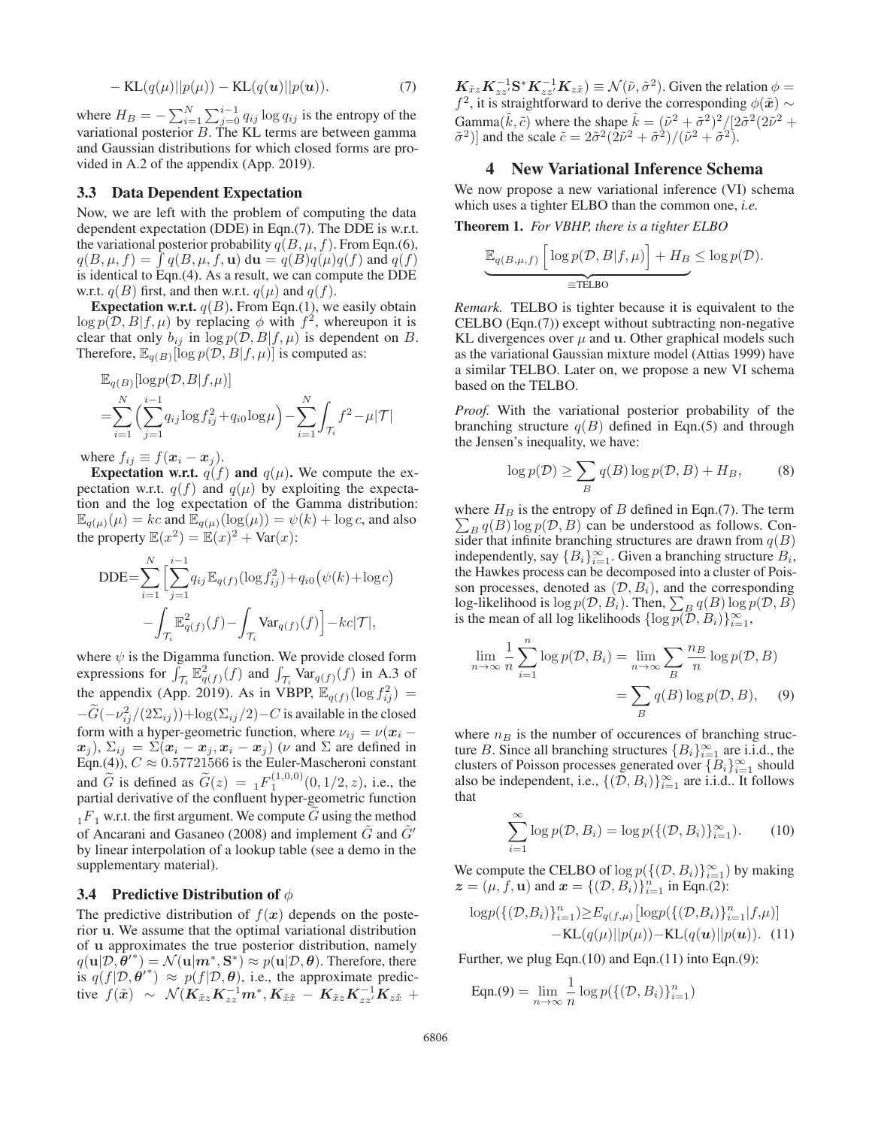$$
-KL(q(\mu)||p(\mu)) - KL(q(\boldsymbol{u})||p(\boldsymbol{u})). \tag{7}
$$

where  $H_B = -\sum_{i=1}^{N} \sum_{j=0}^{i-1} q_{ij} \log q_{ij}$  is the entropy of the variational posterior R. The KI, terms are between gamma variational posterior  $B$ . The KL terms are between gamma and Gaussian distributions for which closed forms are provided in A.2 of the appendix (App. 2019).

### 3.3 Data Dependent Expectation

Now, we are left with the problem of computing the data dependent expectation (DDE) in Eqn.(7). The DDE is w.r.t. the variational posterior probability  $q(B, \mu, f)$ . From Eqn.(6),  $q(B, \mu, f) = \int q(B, \mu, f, \mathbf{u}) \, d\mathbf{u} = q(B)q(\mu)q(f)$  and  $q(f)$ is identical to Eqn.(4). As a result, we can compute the DDE w.r.t.  $q(B)$  first, and then w.r.t.  $q(\mu)$  and  $q(f)$ .<br>**Expectation w.r.t.**  $q(B)$ . From Eqn. (1) we

**Expectation w.r.t.**  $q(B)$ . From Eqn.(1), we easily obtain  $r_n(D \mid B \mid f \mid \mu)$  by replacing  $\phi$  with  $f^2$  whereupon it is  $\log p(\mathcal{D}, B | f, \mu)$  by replacing  $\phi$  with  $f^2$ , whereupon it is clear that only  $h_{ij}$  in  $\log p(\mathcal{D}, B | f, \mu)$  is dependent on  $B$ clear that only  $b_{ij}$  in  $\log p(\mathcal{D}, B | f, \mu)$  is dependent on B. Therefore,  $\mathbb{E}_{q(B)}[\log p(\mathcal{D}, B | f, \mu)]$  is computed as:

$$
\mathbb{E}_{q(B)}[\log p(\mathcal{D}, B | f, \mu)]
$$
  
=
$$
\sum_{i=1}^{N} \left( \sum_{j=1}^{i-1} q_{ij} \log f_{ij}^{2} + q_{i0} \log \mu \right) - \sum_{i=1}^{N} \int_{\mathcal{T}_{i}} f^{2} - \mu |\mathcal{T}|
$$

where  $f_{ij} \equiv f(\boldsymbol{x}_i - \boldsymbol{x}_j)$ .

Expectation w.r.t.  $q(f)$  and  $q(\mu)$ . We compute the expectation w.r.t.  $q(f)$  and  $q(\mu)$  by exploiting the expectation and the log expectation of the Gamma distribution:  $\mathbb{E}_{q(\mu)}(\mu) = kc$  and  $\mathbb{E}_{q(\mu)}(\log(\mu)) = \psi(k) + \log c$ , and also the property  $\mathbb{E}(x^2) = \mathbb{E}(x)^2 + \text{Var}(x)$ :

$$
DDE = \sum_{i=1}^{N} \Big[ \sum_{j=1}^{i-1} q_{ij} \mathbb{E}_{q(f)} (\log f_{ij}^2) + q_{i0} (\psi(k) + \log c) - \int_{\mathcal{T}_i} \mathbb{E}_{q(f)}^2 (f) - \int_{\mathcal{T}_i} \text{Var}_{q(f)} (f) \Big] - kc | \mathcal{T} |,
$$

where  $\psi$  is the Digamma function. We provide closed form expressions for  $\int_{\mathcal{T}_1} \mathbb{E}^2_{q(f)}(f)$  and  $\int_{\mathcal{T}_1} \text{Var}_{q(f)}(f)$  in A.3 of the appendix (App. 2019). As in VBPP,  $\mathbb{E}_{q(f)}(\log f_{ij}^2) =$ <br>  $\widetilde{q}(q^2 + (qN-1)) \cdot 1 \cdot (N-1) \cdot (N-1) \cdot (N-1) \cdot (N-1) \cdot (N-1) \cdot (N-1) \cdot (N-1) \cdot (N-1) \cdot (N-1) \cdot (N-1) \cdot (N-1) \cdot (N-1) \cdot (N-1) \cdot (N-1) \cdot (N-1) \cdot (N-1) \cdot (N-1) \cdot (N-1) \cdot (N-1) \cdot (N -\tilde{G}(-\nu_{ij}^2/(2\Sigma_{ij}))+\log(\Sigma_{ij}/2)-C$  is available in the closed<br>form with a hyper geometric function, where  $\nu_{ij} = \nu(x_i$ form with a hyper-geometric function, where  $\nu_{ij} = \nu(x_i$  $x_j$ ),  $\Sigma_{ij} = \Sigma(x_i - x_j, x_i - x_j)$  ( $\nu$  and  $\Sigma$  are defined in<br>Fan (4))  $C \approx 0.57721566$  is the Fuler-Mascheroni constant Eqn.(4)),  $C \approx 0.57721566$  is the Euler-Mascheroni constant and  $\widetilde{G}$  is defined as  $\widetilde{G}(z) = {}_1F_1^{(1,0,0)}(0,1/2,z)$ , i.e., the partial derivative of the confluent hyper-geometric function partial derivative of the confluent hyper-geometric function  $1F_1$  w.r.t. the first argument. We compute G using the method of Ancarani and Gasaneo (2008) and implement  $\tilde{G}$  and  $\tilde{G}'$ <br>by linear internalation of a looking table (see a dame in the by linear interpolation of a lookup table (see a demo in the supplementary material).

#### 3.4 Predictive Distribution of  $\phi$

The predictive distribution of  $f(x)$  depends on the posterior **u**. We assume that the optimal variational distribution of **u** approximates the true posterior distribution, namely  $q(\mathbf{u}|\mathcal{D}, \mathbf{\theta}^{*}) = \mathcal{N}(\mathbf{u}|\mathbf{m}^{*}, \mathbf{S}^{*}) \approx p(\mathbf{u}|\mathcal{D}, \mathbf{\theta})$ . Therefore, there is  $q(f|\mathcal{D}, \mathbf{\theta}^{*}) \approx p(f|\mathcal{D}, \mathbf{\theta})$  i.e., the approximate predicis  $q(f|\mathcal{D}, \theta^*| \approx p(f|\mathcal{D}, \theta))$ , i.e., the approximate predic-<br>tive  $f(\tilde{\mathbf{x}}) \approx \mathcal{N}(\mathbf{K}_r, \mathbf{K}^{-1}\mathbf{m}^*, \mathbf{K}_r = \mathbf{K}_r, \mathbf{K}^{-1}\mathbf{K}_r +$ tive  $f(\tilde{x}) \sim \mathcal{N}(K_{\tilde{x}z}K_{zz}^{-1}m^*, K_{\tilde{x}\tilde{x}} - K_{\tilde{x}z}K_{zz}^{-1}K_{z\tilde{x}} +$ 

 $K_{\tilde{x}z}K_{zz'}^{-1}S^*K_{zz'}^{-1}K_{z\tilde{x}} \equiv \mathcal{N}(\tilde{\nu}, \tilde{\sigma}^2)$ . Given the relation  $\phi =$ <br> $f^2$  it is straightforward to derive the corresponding  $\phi(\tilde{x})$ f<sup>2</sup>, it is straightforward to derive the corresponding  $\phi(\tilde{x}) \sim$ Gamma $(\tilde{k}, \tilde{c})$  where the shape  $\tilde{k} = (\tilde{\nu}^2 + \tilde{\sigma}^2)^2/[\tilde{2}\tilde{\sigma}^2(2\tilde{\nu}^2 + \tilde{\sigma}^2)]$  and the scale  $\tilde{c} = 2\tilde{\sigma}^2(2\tilde{\nu}^2 + \tilde{\sigma}^2)/( \tilde{\nu}^2 + \tilde{\sigma}^2)$  $(\tilde{\sigma}^2)$ ] and the scale  $\tilde{c} = 2\tilde{\sigma}^2(2\tilde{\nu}^2 + \tilde{\sigma}^2)/(\tilde{\nu}^2 + \tilde{\sigma}^2)$ .

#### 4 New Variational Inference Schema

We now propose a new variational inference (VI) schema which uses a tighter ELBO than the common one, *i.e.*

Theorem 1. *For VBHP, there is a tighter ELBO*

$$
\underbrace{\mathbb{E}_{q(B,\mu,f)}\left[\log p(\mathcal{D},B|f,\mu)\right]+H_B}_{\equiv\text{TELBO}}\leq\log p(\mathcal{D}).
$$

*Remark.* TELBO is tighter because it is equivalent to the CELBO (Eqn.(7)) except without subtracting non-negative KL divergences over  $\mu$  and **u**. Other graphical models such as the variational Gaussian mixture model (Attias 1999) have a similar TELBO. Later on, we propose a new VI schema based on the TELBO.

*Proof.* With the variational posterior probability of the branching structure  $q(B)$  defined in Eqn.(5) and through the Jensen's inequality, we have:

$$
\log p(\mathcal{D}) \ge \sum_{B} q(B) \log p(\mathcal{D}, B) + H_B, \tag{8}
$$

where  $H_B$  is the entropy of B defined in Eqn.(7). The term  $\sum_B q(B) \log p(D, B)$  can be understood as follows. Consider that infinite branching structures are drawn from  $q(B)$ sider that infinite branching structures are drawn from  $q(B)$ independently, say  ${B_i}_{i=1}^{\infty}$ . Given a branching structure  $B_i$ , the Hawkes process can be decomposed into a cluster of Poisson processes, denoted as  $(D, B_i)$ , and the corresponding log-likelihood is  $\log p(\mathcal{D}, B_i)$ . Then,  $\sum_B q(B) \log p(\mathcal{D}, B)$ <br>is the mean of all log likelihoods  $\{ \log p(\mathcal{D}, B_i) \}^{\infty}$ . is the mean of all log likelihoods  $\{\log \overline{p(D}, B_i)\}_{i=1}^{\infty}$ ,

$$
\lim_{n \to \infty} \frac{1}{n} \sum_{i=1}^{n} \log p(\mathcal{D}, B_i) = \lim_{n \to \infty} \sum_{B} \frac{n_B}{n} \log p(\mathcal{D}, B)
$$

$$
= \sum_{B} q(B) \log p(\mathcal{D}, B), \quad (9)
$$

where  $n_B$  is the number of occurences of branching structure B. Since all branching structures  ${B_i}_{i=1}^{\infty}$  are i.i.d., the clusters of Poisson processes generated over  $\{B_i\}_{i=1}^{\infty}$  should also be independent, i.e.,  $\{(\mathcal{D}, B_i)\}_{i=1}^{\infty}$  are i.i.d.. It follows that that

$$
\sum_{i=1}^{\infty} \log p(\mathcal{D}, B_i) = \log p(\{(\mathcal{D}, B_i)\}_{i=1}^{\infty}).
$$
 (10)

We compute the CELBO of  $\log p(\{(\mathcal{D}, B_i)\}_{i=1}^{\infty})$  by making  $z = (u, f, u)$  and  $x = \{(\mathcal{D}, B_i)\}_{i=1}^n$ , in Eqn (2).  $z = (\mu, f, \mathbf{u})$  and  $\mathbf{x} = \{(\mathcal{D}, B_i)\}_{i=1}^n$  in Eqn.(2):

$$
\log p(\{(\mathcal{D}, B_i)\}_{i=1}^n) \ge E_{q(f, \mu)} [\log p(\{(\mathcal{D}, B_i)\}_{i=1}^n | f, \mu)] - KL(q(\mu)||p(\mu)) - KL(q(\mathbf{u})||p(\mathbf{u})). \quad (11)
$$

Further, we plug Eqn.(10) and Eqn.(11) into Eqn.(9):

Eqn.(9) = 
$$
\lim_{n \to \infty} \frac{1}{n} \log p(\{(\mathcal{D}, B_i)\}_{i=1}^n)
$$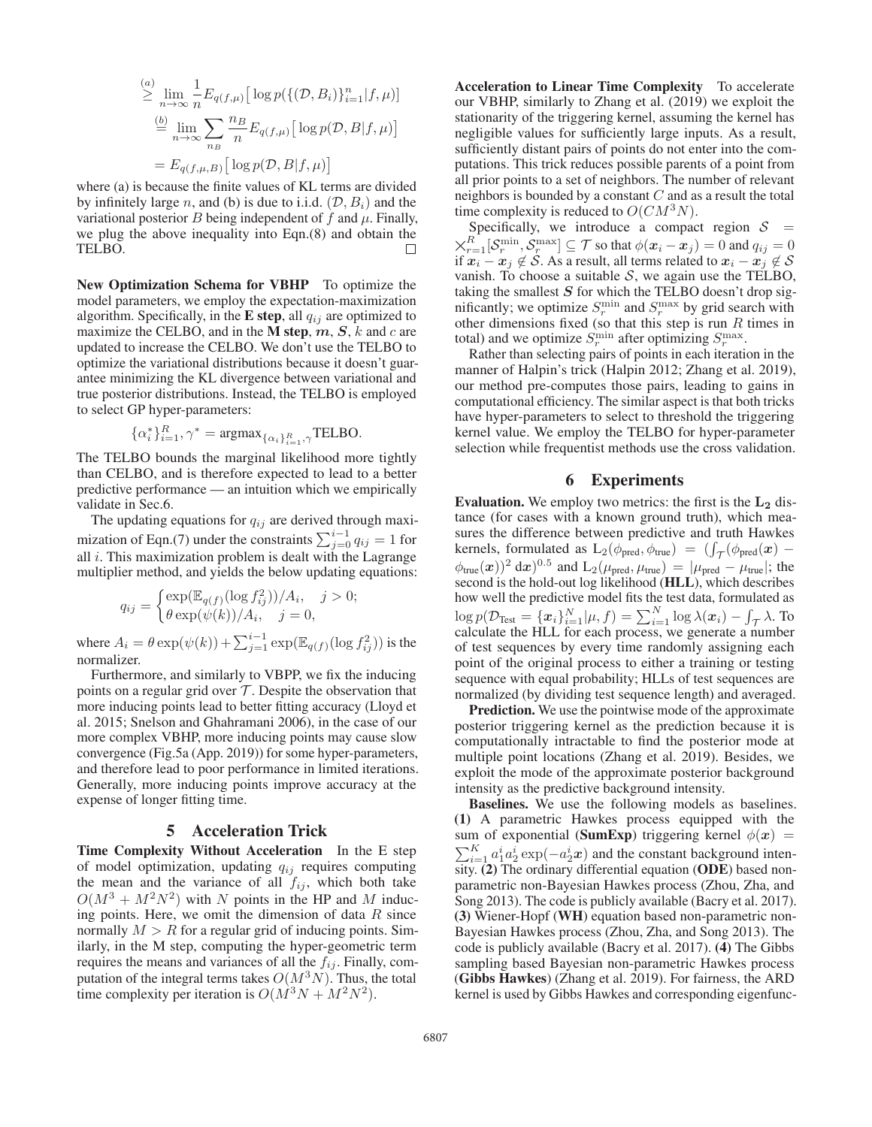$$
\sum_{n \to \infty}^{(a)} \lim_{n \to \infty} \frac{1}{n} E_{q(f,\mu)} \big[ \log p(\{(\mathcal{D}, B_i)\}_{i=1}^n | f, \mu) \big]
$$
  
\n
$$
\stackrel{(b)}{=} \lim_{n \to \infty} \sum_{n_B} \frac{n_B}{n} E_{q(f,\mu)} \big[ \log p(\mathcal{D}, B | f, \mu) \big]
$$
  
\n
$$
= E_{q(f,\mu,B)} \big[ \log p(\mathcal{D}, B | f, \mu) \big]
$$

 $= E_{q(f,\mu,B)} \left[ \log p(\mathcal{D}, B | f, \mu) \right]$ <br>where (a) is because the finite values of KL terms are divided by infinitely large n, and (b) is due to i.i.d.  $(\mathcal{D}, B_i)$  and the variational posterior B being independent of f and  $\mu$ . Finally, we plug the above inequality into Eqn.(8) and obtain the TELBO. П

New Optimization Schema for VBHP To optimize the model parameters, we employ the expectation-maximization algorithm. Specifically, in the **E** step, all  $q_{ij}$  are optimized to maximize the CELBO, and in the M step,  $m$ ,  $S$ ,  $k$  and  $c$  are updated to increase the CELBO. We don't use the TELBO to optimize the variational distributions because it doesn't guarantee minimizing the KL divergence between variational and true posterior distributions. Instead, the TELBO is employed to select GP hyper-parameters:

$$
\{\alpha_i^*\}_{i=1}^R, \gamma^* = \operatorname{argmax}_{\{\alpha_i\}_{i=1}^R, \gamma} \text{TELBO}.
$$

The TELBO bounds the marginal likelihood more tightly than CELBO, and is therefore expected to lead to a better predictive performance — an intuition which we empirically validate in Sec.6.

The updating equations for  $q_{ij}$  are derived through maximization of Eqn.(7) under the constraints  $\sum_{j=0}^{i-1} q_{ij} = 1$  for all i–This maximization problem is dealt with the Lagrange all  $i$ . This maximization problem is dealt with the Lagrange multiplier method, and yields the below updating equations:

$$
q_{ij} = \begin{cases} \exp(\mathbb{E}_{q(f)}(\log f_{ij}^2))/A_i, & j > 0; \\ \theta \exp(\psi(k))/A_i, & j = 0, \end{cases}
$$

where  $A_i = \theta \exp(\psi(k)) + \sum_{j=1}^{i-1} \exp(\mathbb{E}_{q(f)}(\log f_{ij}^2))$  is the normalizer normalizer.

Furthermore, and similarly to VBPP, we fix the inducing points on a regular grid over  $\mathcal T$ . Despite the observation that more inducing points lead to better fitting accuracy (Lloyd et al. 2015; Snelson and Ghahramani 2006), in the case of our more complex VBHP, more inducing points may cause slow convergence (Fig.5a (App. 2019)) for some hyper-parameters, and therefore lead to poor performance in limited iterations. Generally, more inducing points improve accuracy at the expense of longer fitting time.

### 5 Acceleration Trick

Time Complexity Without Acceleration In the E step of model optimization, updating  $q_{ij}$  requires computing the mean and the variance of all  $f_{ij}$ , which both take  $O(M^3 + M^2N^2)$  with N points in the HP and M inducing points. Here, we omit the dimension of data  $R$  since normally  $M > R$  for a regular grid of inducing points. Similarly, in the M step, computing the hyper-geometric term requires the means and variances of all the  $f_{ij}$ . Finally, computation of the integral terms takes  $O(M^3N)$ . Thus, the total time complexity per iteration is  $O(M^3 N + M^2 N^2)$ .

Acceleration to Linear Time Complexity To accelerate our VBHP, similarly to Zhang et al. (2019) we exploit the stationarity of the triggering kernel, assuming the kernel has negligible values for sufficiently large inputs. As a result, sufficiently distant pairs of points do not enter into the computations. This trick reduces possible parents of a point from all prior points to a set of neighbors. The number of relevant neighbors is bounded by a constant  $C$  and as a result the total time complexity is reduced to  $O(CM^3N)$ .

Specifically, we introduce a compact region  $S =$  $\begin{array}{c}\n\bigtimes_{r=1}^{R}[\mathcal{S}_{r}^{\min},\mathcal{S}_{r}^{\max}]\subseteq\mathcal{T}\text{ so that }\phi(x_{i}-x_{j})=0\text{ and }q_{ij}=0\n\end{array}$ <br>if  $x_{i}-x_{i}\notin\mathcal{S}$ . As a result all terms related to  $x_{i}-x_{i}\notin\mathcal{S}$ if  $x_i - x_j \notin S$ . As a result, all terms related to  $x_i - x_j \notin S$ vanish. To choose a suitable  $S$ , we again use the TELBO, taking the smallest *S* for which the TELBO doesn't drop significantly; we optimize  $S_r^{\text{min}}$  and  $S_r^{\text{max}}$  by grid search with other dimensions fixed (so that this step is run  $R$  times in total) and we optimize  $S_r^{\text{min}}$  after optimizing  $S_r^{\text{max}}$ .

Rather than selecting pairs of points in each iteration in the manner of Halpin's trick (Halpin 2012; Zhang et al. 2019), our method pre-computes those pairs, leading to gains in computational efficiency. The similar aspect is that both tricks have hyper-parameters to select to threshold the triggering kernel value. We employ the TELBO for hyper-parameter selection while frequentist methods use the cross validation.

#### 6 Experiments

Evaluation. We employ two metrics: the first is the **L<sup>2</sup>** distance (for cases with a known ground truth), which measures the difference between predictive and truth Hawkes kernels, formulated as  $L_2(\phi_{pred}, \phi_{true}) = (\int_{\mathcal{T}} (\phi_{pred}(\boldsymbol{x}) - \phi_{true}))^2 d\mathbf{x}^{(0.5)}$  and  $L_2(\psi_{pred}(\phi_{true})) = |\psi_{true}|\psi_{true}$  $\phi_{true}(\boldsymbol{x})^2 d\boldsymbol{x}$ <sup>0.5</sup> and  $L_2(\mu_{pred}, \mu_{true}) = |\mu_{pred} - \mu_{true}|$ ; the second is the hold-out log likelihood (HLL), which describes how well the predictive model fits the test data, formulated as  $\log p(\mathcal{D}_{\text{Test}} = \{x_i\}_{i=1}^N | \mu, f) = \sum_{i=1}^N \log \lambda(x_i) - \int_{\mathcal{T}} \lambda$ . To calculate the HLL for each process, we generate a number calculate the HLL for each process, we generate a number of test sequences by every time randomly assigning each point of the original process to either a training or testing sequence with equal probability; HLLs of test sequences are normalized (by dividing test sequence length) and averaged.

**Prediction.** We use the pointwise mode of the approximate posterior triggering kernel as the prediction because it is computationally intractable to find the posterior mode at multiple point locations (Zhang et al. 2019). Besides, we exploit the mode of the approximate posterior background intensity as the predictive background intensity.

Baselines. We use the following models as baselines. (1) A parametric Hawkes process equipped with the sum of exponential (SumExp) triggering kernel  $\phi(x)$  =  $\sum_{i=1}^{K} a_1^i a_2^i \exp(-a_2^i x)$  and the constant background inten-<br>sity (2) The ordinary differential equation (ODE) based non- $\overline{\text{sity}}$ . (2) The ordinary differential equation (ODE) based nonparametric non-Bayesian Hawkes process (Zhou, Zha, and Song 2013). The code is publicly available (Bacry et al. 2017). (3) Wiener-Hopf (WH) equation based non-parametric non-Bayesian Hawkes process (Zhou, Zha, and Song 2013). The code is publicly available (Bacry et al. 2017). (4) The Gibbs sampling based Bayesian non-parametric Hawkes process (Gibbs Hawkes) (Zhang et al. 2019). For fairness, the ARD kernel is used by Gibbs Hawkes and corresponding eigenfunc-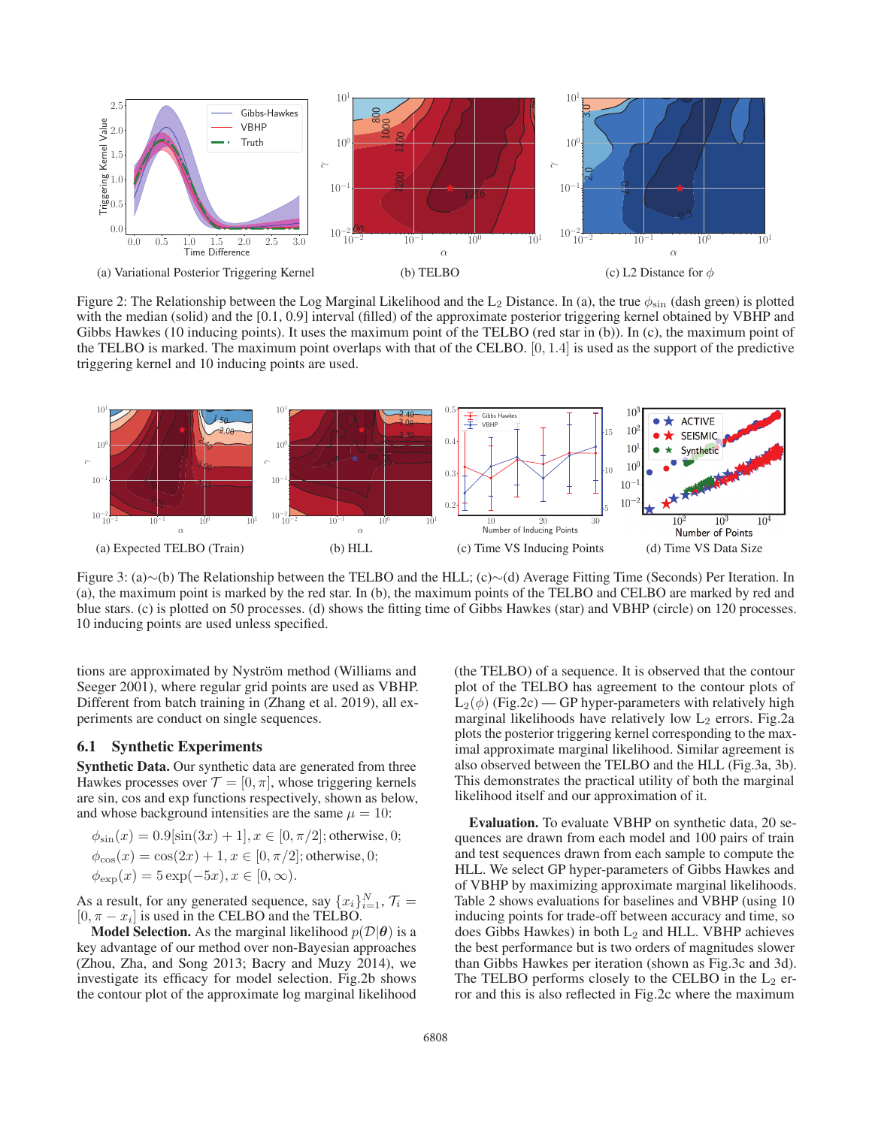

Figure 2: The Relationship between the Log Marginal Likelihood and the L<sub>2</sub> Distance. In (a), the true  $\phi_{\rm sin}$  (dash green) is plotted with the median (solid) and the [0.1, 0.9] interval (filled) of the approximate posterior triggering kernel obtained by VBHP and Gibbs Hawkes (10 inducing points). It uses the maximum point of the TELBO (red star in (b)). In (c), the maximum point of the TELBO is marked. The maximum point overlaps with that of the CELBO.  $[0, 1.4]$  is used as the support of the predictive triggering kernel and 10 inducing points are used.



Figure 3: (a)∼(b) The Relationship between the TELBO and the HLL; (c)∼(d) Average Fitting Time (Seconds) Per Iteration. In (a), the maximum point is marked by the red star. In (b), the maximum points of the TELBO and CELBO are marked by red and blue stars. (c) is plotted on 50 processes. (d) shows the fitting time of Gibbs Hawkes (star) and VBHP (circle) on 120 processes. 10 inducing points are used unless specified.

tions are approximated by Nyström method (Williams and Seeger 2001), where regular grid points are used as VBHP. Different from batch training in (Zhang et al. 2019), all experiments are conduct on single sequences.

### 6.1 Synthetic Experiments

Synthetic Data. Our synthetic data are generated from three Hawkes processes over  $\mathcal{T} = [0, \pi]$ , whose triggering kernels are sin, cos and exp functions respectively, shown as below, and whose background intensities are the same  $\mu = 10$ :

$$
\phi_{\sin}(x) = 0.9[\sin(3x) + 1], x \in [0, \pi/2]; \text{otherwise}, 0; \n\phi_{\cos}(x) = \cos(2x) + 1, x \in [0, \pi/2]; \text{otherwise}, 0; \n\phi_{\exp}(x) = 5 \exp(-5x), x \in [0, \infty).
$$

As a result, for any generated sequence, say  $\{x_i\}_{i=1}^N$ ,  $\mathcal{T}_i =$   $[0, \pi - x_i]$  is used in the CELBO and the TELBO  $[0, \pi - x_i]$  is used in the CELBO and the TELBO.

**Model Selection.** As the marginal likelihood  $p(\mathcal{D}|\boldsymbol{\theta})$  is a key advantage of our method over non-Bayesian approaches (Zhou, Zha, and Song 2013; Bacry and Muzy 2014), we investigate its efficacy for model selection. Fig.2b shows the contour plot of the approximate log marginal likelihood (the TELBO) of a sequence. It is observed that the contour plot of the TELBO has agreement to the contour plots of  $L_2(\phi)$  (Fig.2c) — GP hyper-parameters with relatively high marginal likelihoods have relatively low  $L_2$  errors. Fig.2a plots the posterior triggering kernel corresponding to the maximal approximate marginal likelihood. Similar agreement is also observed between the TELBO and the HLL (Fig.3a, 3b). This demonstrates the practical utility of both the marginal likelihood itself and our approximation of it.

Evaluation. To evaluate VBHP on synthetic data, 20 sequences are drawn from each model and 100 pairs of train and test sequences drawn from each sample to compute the HLL. We select GP hyper-parameters of Gibbs Hawkes and of VBHP by maximizing approximate marginal likelihoods. Table 2 shows evaluations for baselines and VBHP (using 10 inducing points for trade-off between accuracy and time, so does Gibbs Hawkes) in both  $L_2$  and HLL. VBHP achieves the best performance but is two orders of magnitudes slower than Gibbs Hawkes per iteration (shown as Fig.3c and 3d). The TELBO performs closely to the CELBO in the  $L_2$  error and this is also reflected in Fig.2c where the maximum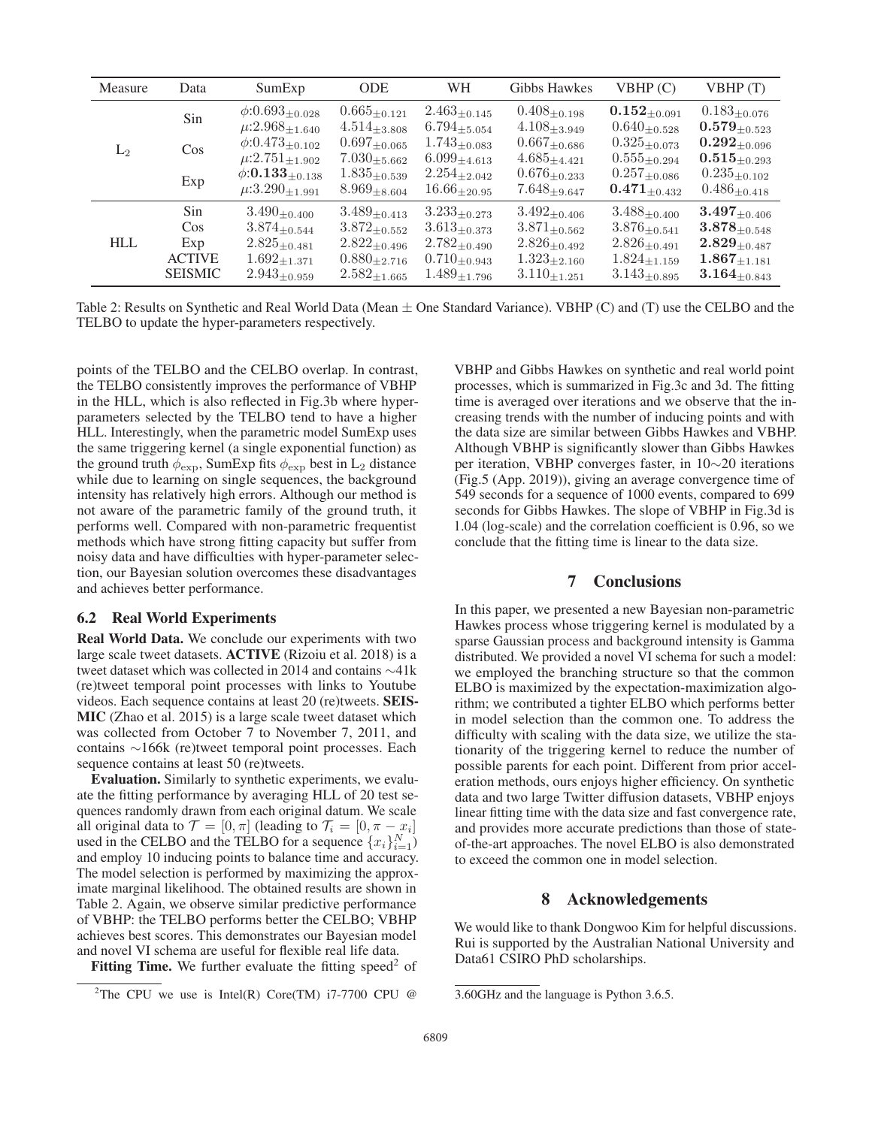| Measure    | Data           | SumExp                                                             | <b>ODE</b>                                 | WH                                         | Gibbs Hawkes                               | VBHP(C)                                             | VBHP(T)                                    |
|------------|----------------|--------------------------------------------------------------------|--------------------------------------------|--------------------------------------------|--------------------------------------------|-----------------------------------------------------|--------------------------------------------|
| $L_{2}$    | Sin            | $\phi:0.693_{\pm 0.028}$                                           | $0.665_{\pm 0.121}$                        | $2.463_{\pm 0.145}$                        | $0.408_{\pm 0.198}$                        | $\textbf{0.152}_{\pm 0.091}$                        | $0.183_{\pm 0.076}$                        |
|            |                | $\mu$ :2.968 <sub>±1.640</sub>                                     | $4.514_{\pm 3.808}$                        | $6.794_{\pm 5.054}$                        | $4.108_{\pm 3.949}$                        | $0.640_{\pm 0.528}$                                 | $\textbf{0.579}_{\pm 0.523}$               |
|            | $\cos$         | $\phi:0.473_{\pm 0.102}$                                           | $0.697_{\pm 0.065}$                        | $1.743_{\pm 0.083}$                        | $0.667_{\pm 0.686}$                        | $0.325_{\pm 0.073}$                                 | $\textbf{0.292}_{\pm 0.096}$               |
|            | Exp            | $\mu$ :2.751 <sub>±1.902</sub><br>$\phi\mathbf{:0.133}_{\pm0.138}$ | $7.030_{\pm 5.662}$                        | $6.099_{\pm 4.613}$                        | $4.685_{\pm 4.421}$                        | $0.555_{\pm 0.294}$                                 | $\textbf{0.515}_{\pm 0.293}$               |
|            |                | $\mu$ :3.290 $\pm$ 1.991                                           | $1.835_{\pm 0.539}$<br>$8.969_{\pm 8.604}$ | $2.254_{\pm 2.042}$<br>$16.66_{\pm 20.95}$ | $0.676_{\pm 0.233}$<br>$7.648_{\pm 9.647}$ | $0.257_{\pm 0.086}$<br>$\textbf{0.471}_{\pm 0.432}$ | $0.235_{\pm 0.102}$<br>$0.486_{\pm 0.418}$ |
|            |                |                                                                    |                                            |                                            |                                            |                                                     |                                            |
| <b>HLL</b> | Sin            | $3.490_{\pm 0.400}$                                                | $3.489_{\pm 0.413}$                        | $3.233_{\pm 0.273}$                        | $3.492_{\pm 0.406}$                        | $3.488_{\pm 0.400}$                                 | $\textbf{3.497}_{\pm 0.406}$               |
|            | $\cos$         | $3.874_{\pm 0.544}$                                                | $3.872_{\pm 0.552}$                        | $3.613_{\pm 0.373}$                        | $3.871_{\pm 0.562}$                        | $3.876_{\pm 0.541}$                                 | $\textbf{3.878}_{\pm 0.548}$               |
|            | Exp            | $2.825_{\pm 0.481}$                                                | $2.822_{\pm 0.496}$                        | $2.782_{\pm 0.490}$                        | $2.826_{\pm 0.492}$                        | $2.826_{\pm 0.491}$                                 | $\bm{2.829}_{\pm 0.487}$                   |
|            | <b>ACTIVE</b>  | $1.692_{\pm 1.371}$                                                | $0.880_{\pm 2.716}$                        | $0.710_{\pm 0.943}$                        | $1.323_{\pm 2.160}$                        | $1.824_{\pm 1.159}$                                 | $1.867_{\pm1.181}$                         |
|            | <b>SEISMIC</b> | $2.943_{\pm 0.959}$                                                | $2.582_{\pm 1.665}$                        | $1.489_{\pm 1.796}$                        | $3.110_{\pm 1.251}$                        | $3.143_{\pm 0.895}$                                 | $\bf{3.164}_{\pm 0.843}$                   |
|            |                |                                                                    |                                            |                                            |                                            |                                                     |                                            |

Table 2: Results on Synthetic and Real World Data (Mean  $\pm$  One Standard Variance). VBHP (C) and (T) use the CELBO and the TELBO to update the hyper-parameters respectively.

points of the TELBO and the CELBO overlap. In contrast, the TELBO consistently improves the performance of VBHP in the HLL, which is also reflected in Fig.3b where hyperparameters selected by the TELBO tend to have a higher HLL. Interestingly, when the parametric model SumExp uses the same triggering kernel (a single exponential function) as the ground truth  $\phi_{\text{exp}}$ , SumExp fits  $\phi_{\text{exp}}$  best in L<sub>2</sub> distance while due to learning on single sequences, the background intensity has relatively high errors. Although our method is not aware of the parametric family of the ground truth, it performs well. Compared with non-parametric frequentist methods which have strong fitting capacity but suffer from noisy data and have difficulties with hyper-parameter selection, our Bayesian solution overcomes these disadvantages and achieves better performance.

### 6.2 Real World Experiments

Real World Data. We conclude our experiments with two large scale tweet datasets. ACTIVE (Rizoiu et al. 2018) is a tweet dataset which was collected in 2014 and contains ∼41k (re)tweet temporal point processes with links to Youtube videos. Each sequence contains at least 20 (re)tweets. SEIS-MIC (Zhao et al. 2015) is a large scale tweet dataset which was collected from October 7 to November 7, 2011, and contains ∼166k (re)tweet temporal point processes. Each sequence contains at least 50 (re)tweets.

Evaluation. Similarly to synthetic experiments, we evaluate the fitting performance by averaging HLL of 20 test sequences randomly drawn from each original datum. We scale all original data to  $\mathcal{T} = [0, \pi]$  (leading to  $\mathcal{T}_i = [0, \pi - x_i]$ used in the CELBO and the TELBO for a sequence  $\{x_i\}_{i=1}^N$ ) and employ 10 inducing points to balance time and accuracy. The model selection is performed by maximizing the approximate marginal likelihood. The obtained results are shown in Table 2. Again, we observe similar predictive performance of VBHP: the TELBO performs better the CELBO; VBHP achieves best scores. This demonstrates our Bayesian model and novel VI schema are useful for flexible real life data.

**Fitting Time.** We further evaluate the fitting speed<sup>2</sup> of

VBHP and Gibbs Hawkes on synthetic and real world point processes, which is summarized in Fig.3c and 3d. The fitting time is averaged over iterations and we observe that the increasing trends with the number of inducing points and with the data size are similar between Gibbs Hawkes and VBHP. Although VBHP is significantly slower than Gibbs Hawkes per iteration, VBHP converges faster, in 10∼20 iterations (Fig.5 (App. 2019)), giving an average convergence time of 549 seconds for a sequence of 1000 events, compared to 699 seconds for Gibbs Hawkes. The slope of VBHP in Fig.3d is 1.04 (log-scale) and the correlation coefficient is 0.96, so we conclude that the fitting time is linear to the data size.

## 7 Conclusions

In this paper, we presented a new Bayesian non-parametric Hawkes process whose triggering kernel is modulated by a sparse Gaussian process and background intensity is Gamma distributed. We provided a novel VI schema for such a model: we employed the branching structure so that the common ELBO is maximized by the expectation-maximization algorithm; we contributed a tighter ELBO which performs better in model selection than the common one. To address the difficulty with scaling with the data size, we utilize the stationarity of the triggering kernel to reduce the number of possible parents for each point. Different from prior acceleration methods, ours enjoys higher efficiency. On synthetic data and two large Twitter diffusion datasets, VBHP enjoys linear fitting time with the data size and fast convergence rate, and provides more accurate predictions than those of stateof-the-art approaches. The novel ELBO is also demonstrated to exceed the common one in model selection.

## 8 Acknowledgements

We would like to thank Dongwoo Kim for helpful discussions. Rui is supported by the Australian National University and Data61 CSIRO PhD scholarships.

<sup>&</sup>lt;sup>2</sup>The CPU we use is Intel(R) Core(TM) i7-7700 CPU @

<sup>3.60</sup>GHz and the language is Python 3.6.5.